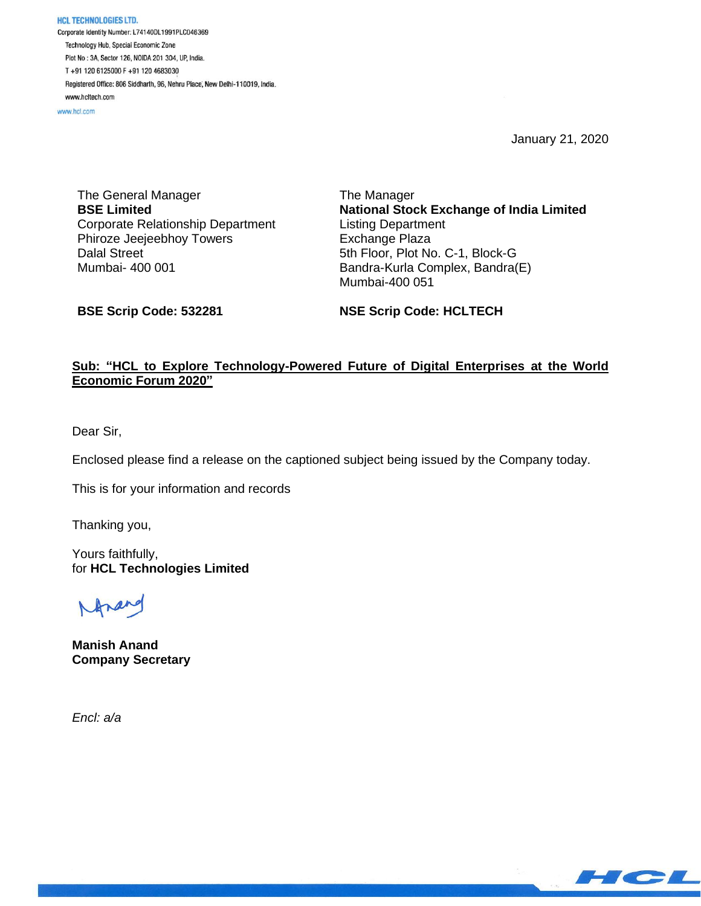**HCL TECHNOLOGIES LTD.** Corporate Identity Number: L74140DL1991PLC046369 Technology Hub, Special Economic Zone Plot No: 3A, Sector 126, NOIDA 201 304, UP, India. T+91 120 6125000 F+91 120 4683030 Registered Office: 806 Siddharth, 96, Nehru Place, New Delhi-110019, India. www.hcltech.com

www.hcl.com

January 21, 2020

The General Manager **BSE Limited** Corporate Relationship Department Phiroze Jeejeebhoy Towers Dalal Street Mumbai- 400 001

The Manager **National Stock Exchange of India Limited** Listing Department Exchange Plaza 5th Floor, Plot No. C-1, Block-G Bandra-Kurla Complex, Bandra(E) Mumbai-400 051

**BSE Scrip Code: 532281**

**NSE Scrip Code: HCLTECH**

## **Sub: "HCL to Explore Technology-Powered Future of Digital Enterprises at the World Economic Forum 2020"**

Dear Sir,

Enclosed please find a release on the captioned subject being issued by the Company today.

This is for your information and records

Thanking you,

Yours faithfully, for **HCL Technologies Limited**

**Manish Anand Company Secretary**

*Encl: a/a*

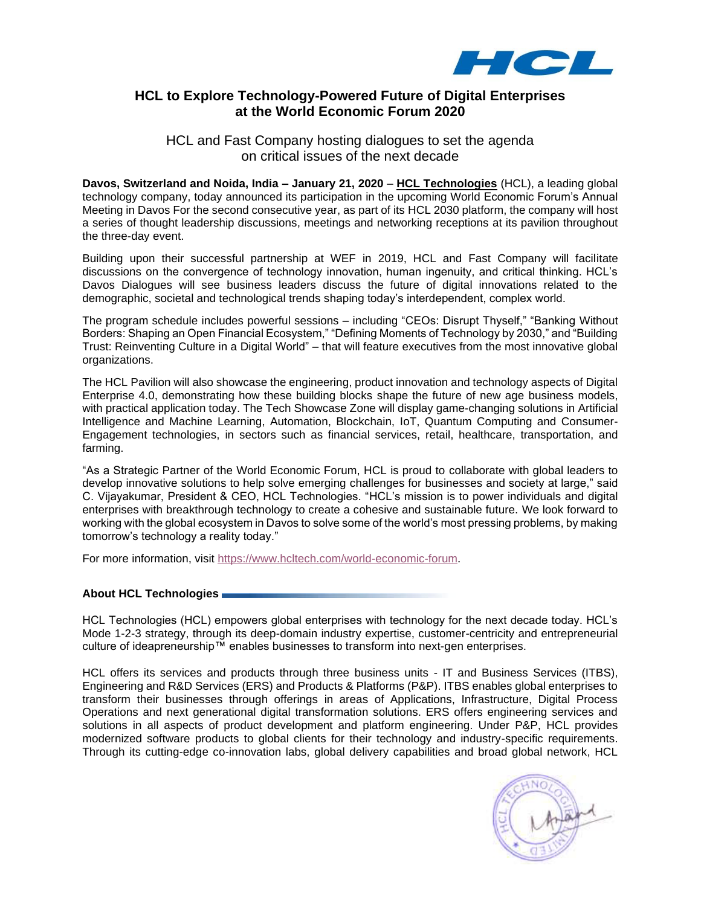

## **HCL to Explore Technology-Powered Future of Digital Enterprises at the World Economic Forum 2020**

HCL and Fast Company hosting dialogues to set the agenda on critical issues of the next decade

**Davos, Switzerland and Noida, India – January 21, 2020** – **[HCL Technologies](https://apc01.safelinks.protection.outlook.com/?url=https%3A%2F%2Fwww.hcltech.com%2F&data=02%7C01%7Canne.coyle%40hcl.com%7C92d69e114c254268daf108d782600521%7C189de737c93a4f5a8b686f4ca9941912%7C0%7C0%7C637121221219921471&sdata=U%2BeOdXiLbzG6BJ72Gw7NXuLJRdniD%2Fy%2FbKWIQlNwpoQ%3D&reserved=0)** (HCL), a leading global technology company, today announced its participation in the upcoming World Economic Forum's Annual Meeting in Davos For the second consecutive year, as part of its HCL 2030 platform, the company will host a series of thought leadership discussions, meetings and networking receptions at its pavilion throughout the three-day event.

Building upon their successful partnership at WEF in 2019, HCL and Fast Company will facilitate discussions on the convergence of technology innovation, human ingenuity, and critical thinking. HCL's Davos Dialogues will see business leaders discuss the future of digital innovations related to the demographic, societal and technological trends shaping today's interdependent, complex world.

The program schedule includes powerful sessions – including "CEOs: Disrupt Thyself," "Banking Without Borders: Shaping an Open Financial Ecosystem," "Defining Moments of Technology by 2030," and "Building Trust: Reinventing Culture in a Digital World" – that will feature executives from the most innovative global organizations.

The HCL Pavilion will also showcase the engineering, product innovation and technology aspects of Digital Enterprise 4.0, demonstrating how these building blocks shape the future of new age business models, with practical application today. The Tech Showcase Zone will display game-changing solutions in Artificial Intelligence and Machine Learning, Automation, Blockchain, IoT, Quantum Computing and Consumer-Engagement technologies, in sectors such as financial services, retail, healthcare, transportation, and farming.

"As a Strategic Partner of the World Economic Forum, HCL is proud to collaborate with global leaders to develop innovative solutions to help solve emerging challenges for businesses and society at large," said C. Vijayakumar, President & CEO, HCL Technologies. "HCL's mission is to power individuals and digital enterprises with breakthrough technology to create a cohesive and sustainable future. We look forward to working with the global ecosystem in Davos to solve some of the world's most pressing problems, by making tomorrow's technology a reality today."

For more information, visit [https://www.hcltech.com/world-economic-forum.](https://apc01.safelinks.protection.outlook.com/?url=https%3A%2F%2Fwww.hcltech.com%2Fworld-economic-forum&data=02%7C01%7Canne.coyle%40hcl.com%7C92d69e114c254268daf108d782600521%7C189de737c93a4f5a8b686f4ca9941912%7C0%7C0%7C637121221219931469&sdata=sd%2F5JbJp%2BNJaX%2B0TtYynuI%2BJh0wT0%2FTcFnWtYdSOavg%3D&reserved=0)

### **About HCL Technologies**

HCL Technologies (HCL) empowers global enterprises with technology for the next decade today. HCL's Mode 1-2-3 strategy, through its deep-domain industry expertise, customer-centricity and entrepreneurial culture of ideapreneurship™ enables businesses to transform into next-gen enterprises.

HCL offers its services and products through three business units - IT and Business Services (ITBS), Engineering and R&D Services (ERS) and Products & Platforms (P&P). ITBS enables global enterprises to transform their businesses through offerings in areas of Applications, Infrastructure, Digital Process Operations and next generational digital transformation solutions. ERS offers engineering services and solutions in all aspects of product development and platform engineering. Under P&P, HCL provides modernized software products to global clients for their technology and industry-specific requirements. Through its cutting-edge co-innovation labs, global delivery capabilities and broad global network, HCL